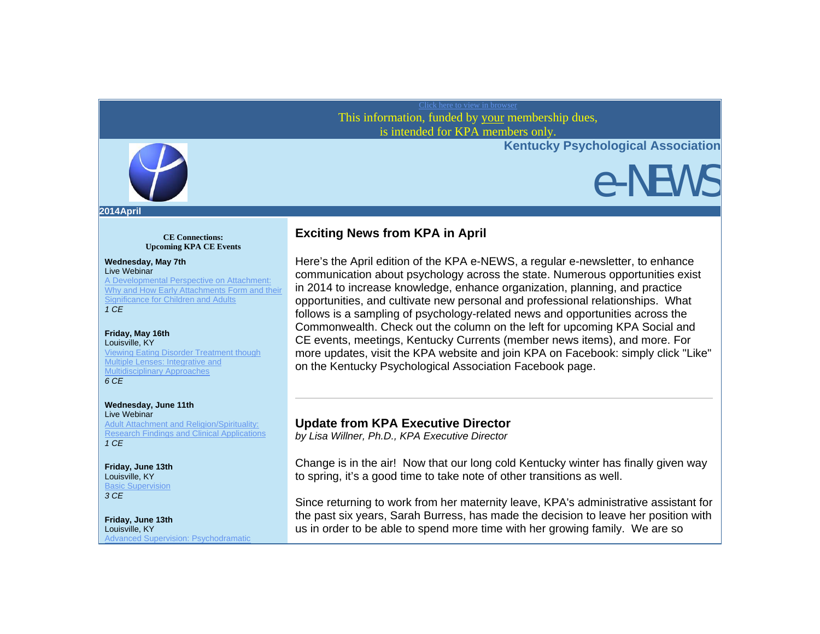### Click here to view in browser This information, funded by your membership dues, is intended for KPA members only.



e-NEWS



**2014April** 

**CE Connections: Upcoming KPA CE Events**

### **Wednesday, May 7th**

Live Webinar A Developmental Perspective on Attachment: Why and How Early Attachments Form and their Significance for Children and Adults *1 CE*

#### **Friday, May 16th** Louisville, KY

Viewing Eating Disorder Treatment though Multiple Lenses: Integrative and Multidisciplinary Approaches *6 CE*

### **Wednesday, June 11th**

Live Webinar Adult Attachment and Religion/Spirituality: Research Findings and Clinical Applications *1 CE*

### **Friday, June 13th** Louisville, KY **Basic Supervision**

*3 CE*

### **Friday, June 13th** Louisville, KY Advanced Supervision: Psychodramatic

## **Exciting News from KPA in April**

Here's the April edition of the KPA e-NEWS, a regular e-newsletter, to enhance communication about psychology across the state. Numerous opportunities exist in 2014 to increase knowledge, enhance organization, planning, and practice opportunities, and cultivate new personal and professional relationships. What follows is a sampling of psychology-related news and opportunities across the Commonwealth. Check out the column on the left for upcoming KPA Social and CE events, meetings, Kentucky Currents (member news items), and more. For more updates, visit the KPA website and join KPA on Facebook: simply click "Like" on the Kentucky Psychological Association Facebook page.

## **Update from KPA Executive Director**

*by Lisa Willner, Ph.D., KPA Executive Director*

Change is in the air! Now that our long cold Kentucky winter has finally given way to spring, it's a good time to take note of other transitions as well.

Since returning to work from her maternity leave, KPA's administrative assistant for the past six years, Sarah Burress, has made the decision to leave her position with us in order to be able to spend more time with her growing family. We are so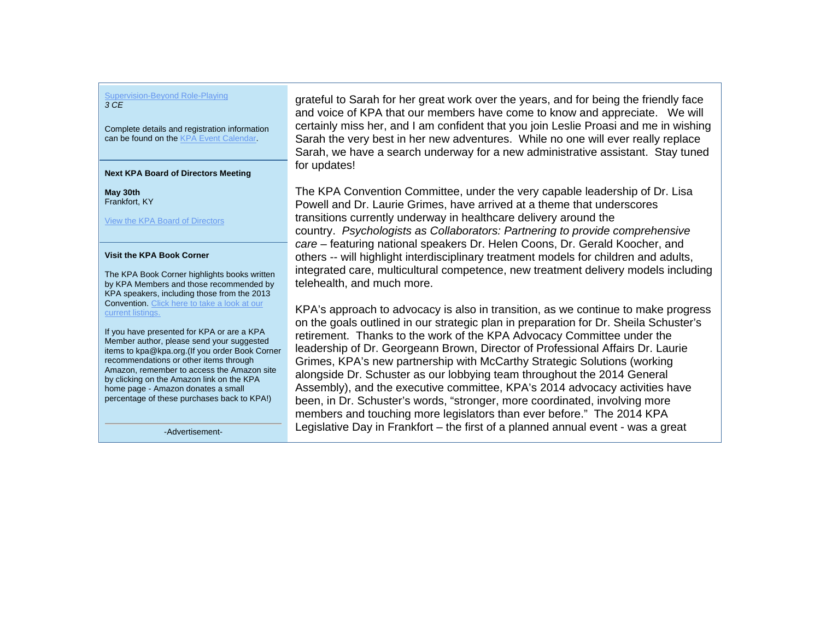#### Supervision-Beyond Role-Playing *3 CE*

Complete details and registration information can be found on the KPA Event Calendar.

#### **Next KPA Board of Directors Meeting**

**May 30th** Frankfort, KY

View the KPA Board of Directors

### **Visit the KPA Book Corner**

The KPA Book Corner highlights books written by KPA Members and those recommended by KPA speakers, including those from the 2013 Convention. Click here to take a look at our current listings.

If you have presented for KPA or are a KPA Member author, please send your suggested items to kpa@kpa.org.(If you order Book Corner recommendations or other items through Amazon, remember to access the Amazon site by clicking on the Amazon link on the KPA home page - Amazon donates a small percentage of these purchases back to KPA!)

-Advertisement-

grateful to Sarah for her great work over the years, and for being the friendly face<br>end voice of KPA that our members have come to know and appreciate. We will<br>certainly miss her, and I am confident that you join Leslie P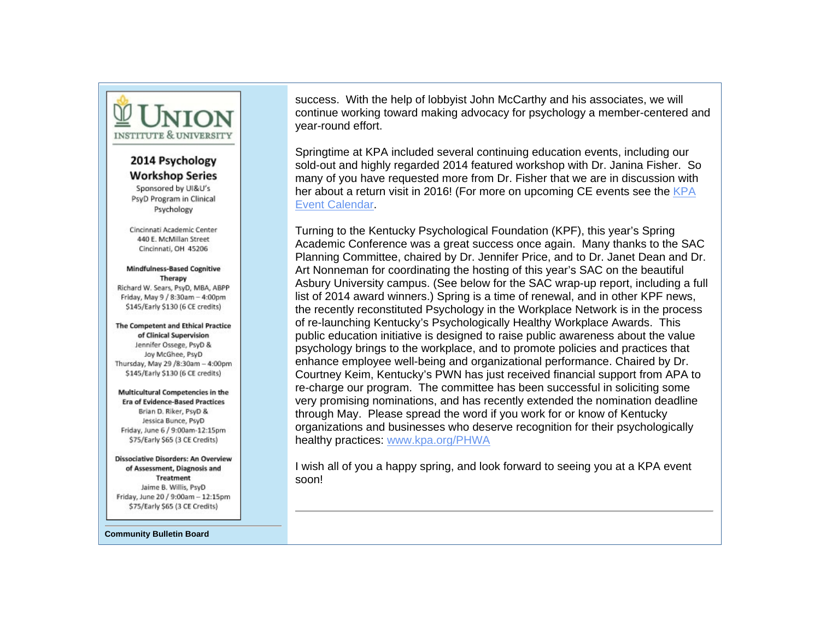

## 2014 Psychology **Workshop Series**

Sponsored by UI&U's PsyD Program in Clinical Psychology

Cincinnati Academic Center 440 E. McMillan Street Cincinnati, OH 45206

### **Mindfulness-Based Cognitive** Therapy

Richard W. Sears, PsyD, MBA, ABPP Friday, May 9 / 8:30am - 4:00pm \$145/Early \$130 (6 CE credits)

The Competent and Ethical Practice of Clinical Supervision Jennifer Ossege, PsyD & Joy McGhee, PsyD Thursday, May 29 /8:30am - 4:00pm \$145/Early \$130 (6 CE credits)

Multicultural Competencies in the **Era of Evidence-Based Practices** Brian D. Riker, PsyD & Jessica Bunce, PsyD Friday, June 6 / 9:00am-12:15pm \$75/Early \$65 (3 CE Credits)

#### **Dissociative Disorders: An Overview** of Assessment, Diagnosis and **Treatment** Jaime B. Willis, PsyD Friday, June 20 / 9:00am - 12:15pm \$75/Early \$65 (3 CE Credits)

**Community Bulletin Board** 

success. With the help of lobbyist John McCarthy and his associates, we will continue working toward making advocacy for psychology a member-centered and year-round effort.

Springtime at KPA included several continuing education events, including our sold-out and highly regarded 2014 featured workshop with Dr. Janina Fisher. So many of you have requested more from Dr. Fisher that we are in discussion with her about a return visit in 2016! (For more on upcoming CE events see the KPA Event Calendar.

Turning to the Kentucky Psychological Foundation (KPF), this year's Spring Academic Conference was a great success once again. Many thanks to the SAC Planning Committee, chaired by Dr. Jennifer Price, and to Dr. Janet Dean and Dr. Art Nonneman for coordinating the hosting of this year's SAC on the beautiful Asbury University campus. (See below for the SAC wrap-up report, including a full list of 2014 award winners.) Spring is a time of renewal, and in other KPF news, the recently reconstituted Psychology in the Workplace Network is in the process of re-launching Kentucky's Psychologically Healthy Workplace Awards. This public education initiative is designed to raise public awareness about the value psychology brings to the workplace, and to promote policies and practices that enhance employee well-being and organizational performance. Chaired by Dr. Courtney Keim, Kentucky's PWN has just received financial support from APA to re-charge our program. The committee has been successful in soliciting some very promising nominations, and has recently extended the nomination deadline through May. Please spread the word if you work for or know of Kentucky organizations and businesses who deserve recognition for their psychologically healthy practices: www.kpa.org/PHWA

I wish all of you a happy spring, and look forward to seeing you at a KPA event soon!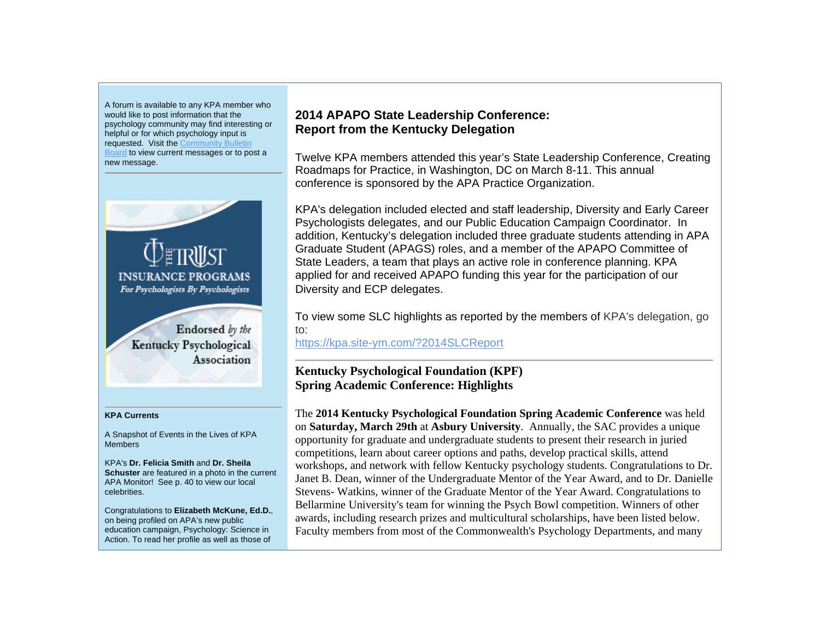A forum is available to any KPA member who would like to post information that the psychology community may find interesting or helpful or for which psychology input is requested. Visit the Community Bulletin Board to view current messages or to post a new message.



#### **KPA Currents**

A Snapshot of Events in the Lives of KPA Members

KPA's **Dr. Felicia Smith** and **Dr. Sheila Schuster** are featured in a photo in the current APA Monitor! See p. 40 to view our local celebrities.

Congratulations to **Elizabeth McKune, Ed.D.**, on being profiled on APA's new public education campaign, Psychology: Science in Action. To read her profile as well as those of

## **2014 APAPO State Leadership Conference: Report from the Kentucky Delegation**

Twelve KPA members attended this year's State Leadership Conference, Creating Roadmaps for Practice, in Washington, DC on March 8-11. This annual conference is sponsored by the APA Practice Organization.

KPA's delegation included elected and staff leadership, Diversity and Early Career Psychologists delegates, and our Public Education Campaign Coordinator. In addition, Kentucky's delegation included three graduate students attending in APA Graduate Student (APAGS) roles, and a member of the APAPO Committee of State Leaders, a team that plays an active role in conference planning. KPA applied for and received APAPO funding this year for the participation of our Diversity and ECP delegates.

To view some SLC highlights as reported by the members of KPA's delegation, go to:

https://kpa.site-ym.com/?2014SLCReport

## **Kentucky Psychological Foundation (KPF) Spring Academic Conference: Highlights**

The **2014 Kentucky Psychological Foundation Spring Academic Conference** was held on **Saturday, March 29th** at **Asbury University**. Annually, the SAC provides a unique opportunity for graduate and undergraduate students to present their research in juried competitions, learn about career options and paths, develop practical skills, attend workshops, and network with fellow Kentucky psychology students. Congratulations to Dr. Janet B. Dean, winner of the Undergraduate Mentor of the Year Award, and to Dr. Danielle Stevens- Watkins, winner of the Graduate Mentor of the Year Award. Congratulations to Bellarmine University's team for winning the Psych Bowl competition. Winners of other awards, including research prizes and multicultural scholarships, have been listed below. Faculty members from most of the Commonwealth's Psychology Departments, and many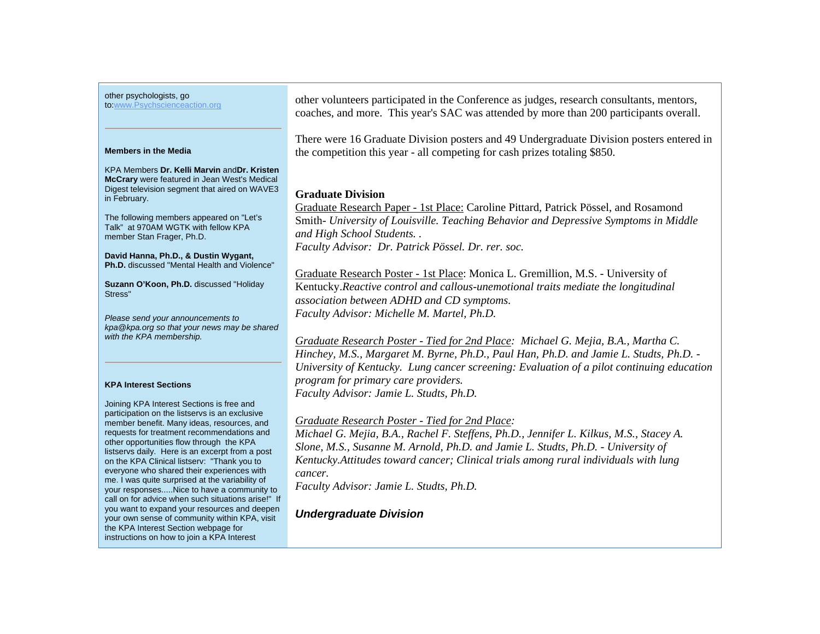other psychologists, go

to:www.Psychscienceaction.org

#### **Members in the Media**

KPA Members **Dr. Kelli Marvin** and**Dr. Kristen McCrary** were featured in Jean West's Medical Digest television segment that aired on WAVE3 in February.

The following members appeared on "Let's Talk" at 970AM WGTK with fellow KPA member Stan Frager, Ph.D.

**David Hanna, Ph.D., & Dustin Wygant, Ph.D.** discussed "Mental Health and Violence"

**Suzann O'Koon, Ph.D.** discussed "Holiday Stress"

*Please send your announcements to kpa@kpa.org so that your news may be shared with the KPA membership.* 

### **KPA Interest Sections**

Joining KPA Interest Sections is free and participation on the listservs is an exclusive member benefit. Many ideas, resources, and requests for treatment recommendations and other opportunities flow through the KPA listservs daily. Here is an excerpt from a post on the KPA Clinical listserv: "Thank you to everyone who shared their experiences with me. I was quite surprised at the variability of your responses.....Nice to have a community to call on for advice when such situations arise!" If you want to expand your resources and deepen your own sense of community within KPA, visit the KPA Interest Section webpage for instructions on how to join a KPA Interest

other volunteers participated in the Conference as judges, research consultants, mentors, coaches, and more. This year's SAC was attended by more than 200 participants overall.

There were 16 Graduate Division posters and 49 Undergraduate Division posters entered in the competition this year - all competing for cash prizes totaling \$850.

### **Graduate Division**

Graduate Research Paper - 1st Place: Caroline Pittard, Patrick Pössel, and Rosamond Smith- *University of Louisville. Teaching Behavior and Depressive Symptoms in Middle and High School Students. . Faculty Advisor: Dr. Patrick Pössel. Dr. rer. soc.*

Graduate Research Poster - 1st Place: Monica L. Gremillion, M.S. - University of Kentucky.*Reactive control and callous-unemotional traits mediate the longitudinal association between ADHD and CD symptoms. Faculty Advisor: Michelle M. Martel, Ph.D.*

*Graduate Research Poster - Tied for 2nd Place: Michael G. Mejia, B.A., Martha C. Hinchey, M.S., Margaret M. Byrne, Ph.D., Paul Han, Ph.D. and Jamie L. Studts, Ph.D. - University of Kentucky. Lung cancer screening: Evaluation of a pilot continuing education program for primary care providers. Faculty Advisor: Jamie L. Studts, Ph.D.*

### *Graduate Research Poster - Tied for 2nd Place:*

*Michael G. Mejia, B.A., Rachel F. Steffens, Ph.D., Jennifer L. Kilkus, M.S., Stacey A. Slone, M.S., Susanne M. Arnold, Ph.D. and Jamie L. Studts, Ph.D. - University of Kentucky.Attitudes toward cancer; Clinical trials among rural individuals with lung cancer.* 

*Faculty Advisor: Jamie L. Studts, Ph.D.* 

*Undergraduate Division*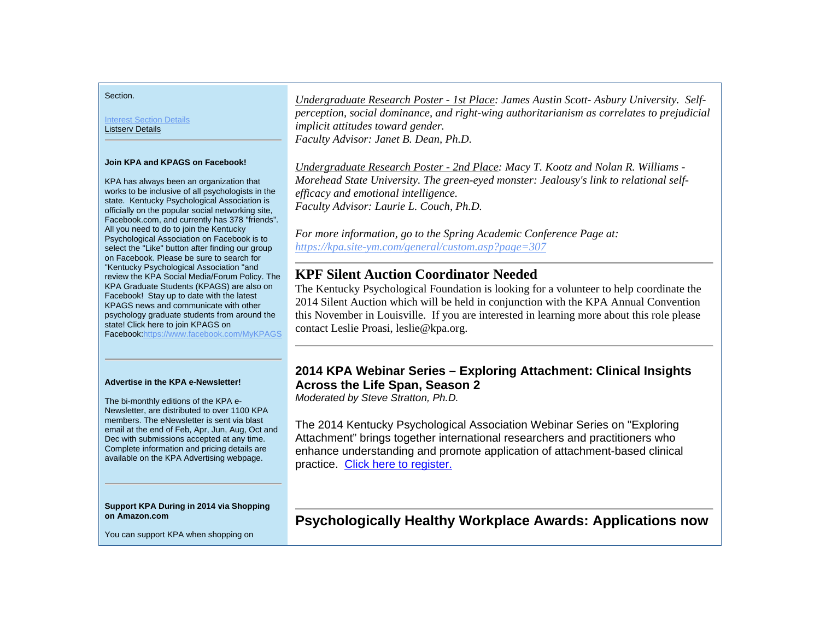Section.

Interest Section Details Listserv Details

### **Join KPA and KPAGS on Facebook!**

KPA has always been an organization that works to be inclusive of all psychologists in the state. Kentucky Psychological Association is officially on the popular social networking site, Facebook.com, and currently has 378 "friends". All you need to do to join the Kentucky Psychological Association on Facebook is to select the "Like" button after finding our group on Facebook. Please be sure to search for "Kentucky Psychological Association "and review the KPA Social Media/Forum Policy. The KPA Graduate Students (KPAGS) are also on Facebook! Stay up to date with the latest KPAGS news and communicate with other psychology graduate students from around the state! Click here to join KPAGS on Facebook:https://www.facebook.com/MyKPAGS

#### **Advertise in the KPA e-Newsletter!**

The bi-monthly editions of the KPA e-Newsletter, are distributed to over 1100 KPA members. The eNewsletter is sent via blast email at the end of Feb, Apr, Jun, Aug, Oct and Dec with submissions accepted at any time. Complete information and pricing details are available on the KPA Advertising webpage.

**Support KPA During in 2014 via Shopping on Amazon.com**

You can support KPA when shopping on

*Undergraduate Research Poster - 1st Place: James Austin Scott- Asbury University. Selfperception, social dominance, and right-wing authoritarianism as correlates to prejudicial implicit attitudes toward gender. Faculty Advisor: Janet B. Dean, Ph.D.* 

*Undergraduate Research Poster - 2nd Place: Macy T. Kootz and Nolan R. Williams - Morehead State University. The green-eyed monster: Jealousy's link to relational selfefficacy and emotional intelligence. Faculty Advisor: Laurie L. Couch, Ph.D.* 

*For more information, go to the Spring Academic Conference Page at: https://kpa.site-ym.com/general/custom.asp?page=307*

## **KPF Silent Auction Coordinator Needed**

The Kentucky Psychological Foundation is looking for a volunteer to help coordinate the 2014 Silent Auction which will be held in conjunction with the KPA Annual Convention this November in Louisville. If you are interested in learning more about this role please contact Leslie Proasi, leslie@kpa.org.

## **2014 KPA Webinar Series – Exploring Attachment: Clinical Insights Across the Life Span, Season 2**

*Moderated by Steve Stratton, Ph.D.*

The 2014 Kentucky Psychological Association Webinar Series on "Exploring Attachment" brings together international researchers and practitioners who enhance understanding and promote application of attachment-based clinical practice. Click here to register.

**Psychologically Healthy Workplace Awards: Applications now**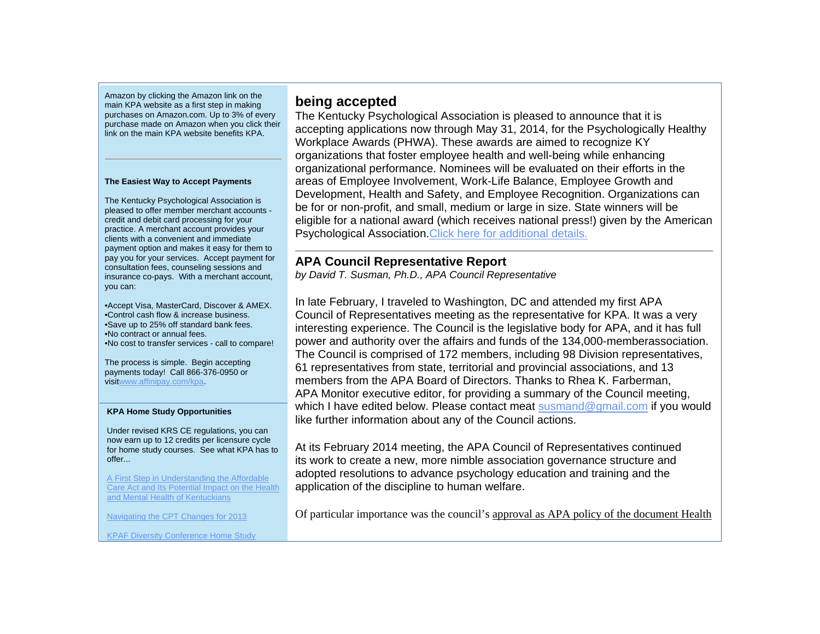Amazon by clicking the Amazon link on the main KPA website as a first step in making purchases on Amazon.com. Up to 3% of every purchase made on Amazon when you click their link on the main KPA website benefits KPA.

### **The Easiest Way to Accept Payments**

The Kentucky Psychological Association is pleased to offer member merchant accounts credit and debit card processing for your practice. A merchant account provides your clients with a convenient and immediate payment option and makes it easy for them to pay you for your services. Accept payment for consultation fees, counseling sessions and insurance co-pays. With a merchant account, you can:

•Accept Visa, MasterCard, Discover & AMEX. •Control cash flow & increase business. •Save up to 25% off standard bank fees. •No contract or annual fees. •No cost to transfer services - call to compare!

The process is simple. Begin accepting payments today! Call 866-376-0950 or visitwww.affinipay.com/kpa.

### **KPA Home Study Opportunities**

Under revised KRS CE regulations, you can now earn up to 12 credits per licensure cycle for home study courses. See what KPA has to offer...

A First Step in Understanding the Affordable Care Act and Its Potential Impact on the Health and Mental Health of Kentuckians

Navigating the CPT Changes for 2013

KPAF Diversity Conference Home Study

## **being accepted**

The Kentucky Psychological Association is pleased to announce that it is accepting applications now through May 31, 2014, for the Psychologically Healthy Workplace Awards (PHWA). These awards are aimed to recognize KY organizations that foster employee health and well-being while enhancing organizational performance. Nominees will be evaluated on their efforts in the areas of Employee Involvement, Work-Life Balance, Employee Growth and Development, Health and Safety, and Employee Recognition. Organizations can be for or non-profit, and small, medium or large in size. State winners will be eligible for a national award (which receives national press!) given by the American Psychological Association.Click here for additional details.

## **APA Council Representative Report**

*by David T. Susman, Ph.D., APA Council Representative* 

In late February, I traveled to Washington, DC and attended my first APA Council of Representatives meeting as the representative for KPA. It was a very interesting experience. The Council is the legislative body for APA, and it has full power and authority over the affairs and funds of the 134,000-memberassociation. The Council is comprised of 172 members, including 98 Division representatives, 61 representatives from state, territorial and provincial associations, and 13 members from the APA Board of Directors. Thanks to Rhea K. Farberman, APA Monitor executive editor, for providing a summary of the Council meeting, which I have edited below. Please contact meat susmand@gmail.com if you would like further information about any of the Council actions.

At its February 2014 meeting, the APA Council of Representatives continued its work to create a new, more nimble association governance structure and adopted resolutions to advance psychology education and training and the application of the discipline to human welfare.

Of particular importance was the council's approval as APA policy of the document Health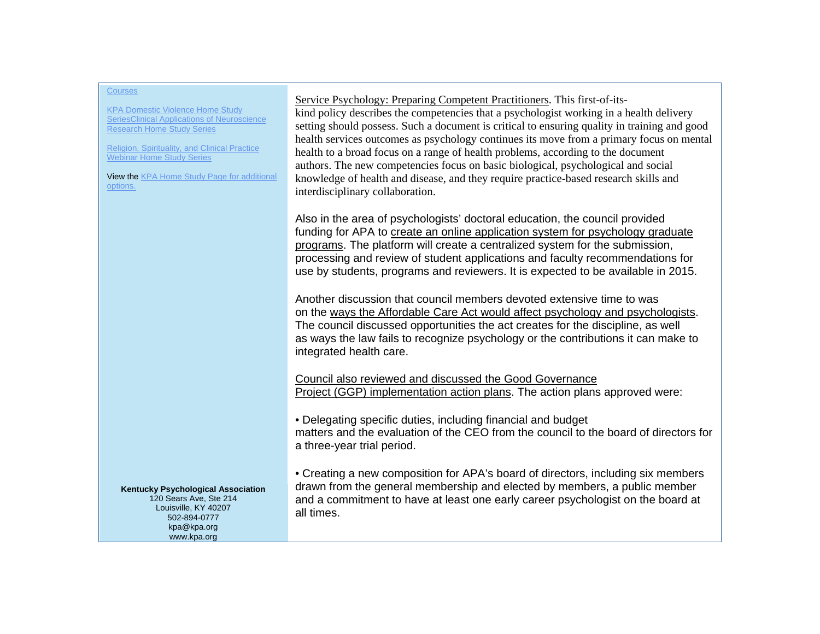KPA Domestic Violence Home Study SeriesClinical Applications of Neuroscience Research Home Study Series

Religion, Spirituality, and Clinical Practice Webinar Home Study Series

View the KPA Home Study Page for additional options.

Service Psychology: Preparing Competent Practitioners. This first-of-itskind policy describes the competencies that a psychologist working in a health delivery setting should possess. Such a document is critical to ensuring quality in training and good health services outcomes as psychology continues its move from a primary focus on mental health to a broad focus on a range of health problems, according to the document authors. The new competencies focus on basic biological, psychological and social knowledge of health and disease, and they require practice-based research skills and interdisciplinary collaboration.

Also in the area of psychologists' doctoral education, the council provided funding for APA to create an online application system for psychology graduate programs. The platform will create a centralized system for the submission, processing and review of student applications and faculty recommendations for use by students, programs and reviewers. It is expected to be available in 2015.

Another discussion that council members devoted extensive time to was on the ways the Affordable Care Act would affect psychology and psychologists. The council discussed opportunities the act creates for the discipline, as well as ways the law fails to recognize psychology or the contributions it can make to integrated health care.

Council also reviewed and discussed the Good Governance Project (GGP) implementation action plans. The action plans approved were:

• Delegating specific duties, including financial and budget matters and the evaluation of the CEO from the council to the board of directors for a three-year trial period.

• Creating a new composition for APA's board of directors, including six members drawn from the general membership and elected by members, a public member and a commitment to have at least one early career psychologist on the board at all times.

**Kentucky Psychological Association**  120 Sears Ave, Ste 214 Louisville, KY 40207 502-894-0777 kpa@kpa.org www.kpa.org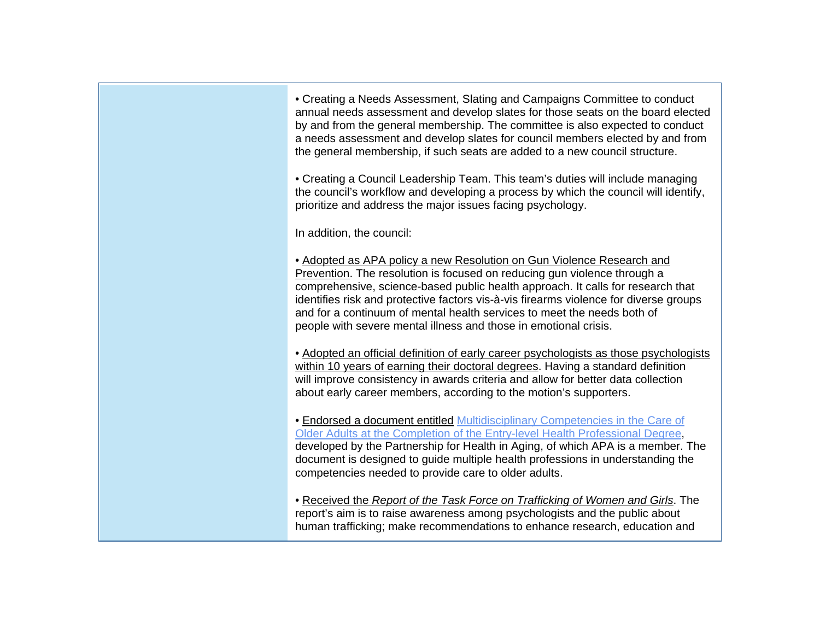• Creating a Needs Assessment, Slating and Campaigns Committee to conduct annual needs assessment and develop slates for those seats on the board elected by and from the general membership. The committee is also expected to conduct a needs assessment and develop slates for council members elected by and from the general membership, if such seats are added to a new council structure.

• Creating a Council Leadership Team. This team's duties will include managing the council's workflow and developing a process by which the council will identify, prioritize and address the major issues facing psychology.

In addition, the council:

• Adopted as APA policy a new Resolution on Gun Violence Research and Prevention. The resolution is focused on reducing gun violence through a comprehensive, science-based public health approach. It calls for research that identifies risk and protective factors vis-à-vis firearms violence for diverse groups and for a continuum of mental health services to meet the needs both of people with severe mental illness and those in emotional crisis.

• Adopted an official definition of early career psychologists as those psychologists within 10 years of earning their doctoral degrees. Having a standard definition will improve consistency in awards criteria and allow for better data collection about early career members, according to the motion's supporters.

• Endorsed a document entitled Multidisciplinary Competencies in the Care of Older Adults at the Completion of the Entry-level Health Professional Degree, developed by the Partnership for Health in Aging, of which APA is a member. The document is designed to guide multiple health professions in understanding the competencies needed to provide care to older adults.

• Received the *Report of the Task Force on Trafficking of Women and Girls*. The report's aim is to raise awareness among psychologists and the public about human trafficking; make recommendations to enhance research, education and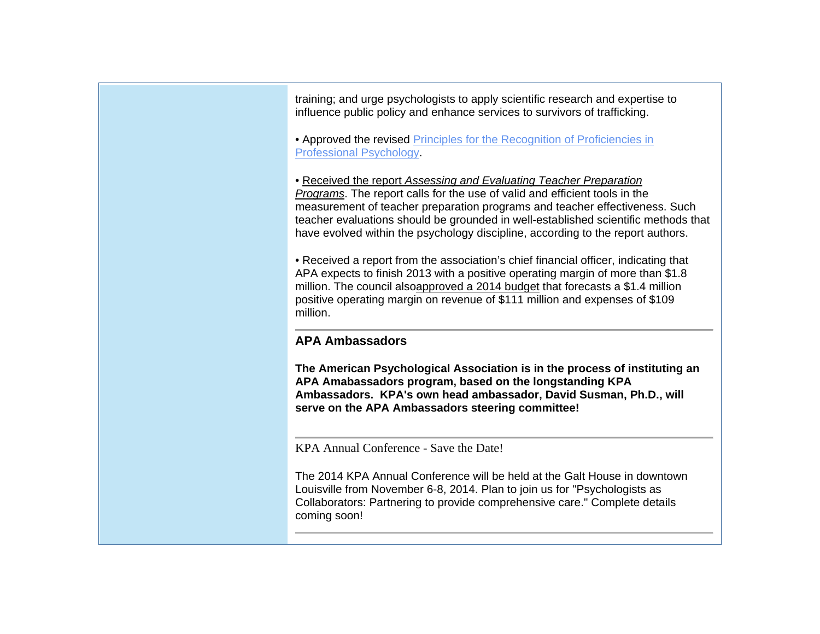training; and urge psychologists to apply scientific research and expertise to influence public policy and enhance services to survivors of trafficking.

• Approved the revised Principles for the Recognition of Proficiencies in Professional Psychology.

• Received the report *Assessing and Evaluating Teacher Preparation Programs*. The report calls for the use of valid and efficient tools in the measurement of teacher preparation programs and teacher effectiveness. Such teacher evaluations should be grounded in well-established scientific methods that have evolved within the psychology discipline, according to the report authors.

• Received a report from the association's chief financial officer, indicating that APA expects to finish 2013 with a positive operating margin of more than \$1.8 million. The council alsoapproved a 2014 budget that forecasts a \$1.4 million positive operating margin on revenue of \$111 million and expenses of \$109 million.

## **APA Ambassadors**

**The American Psychological Association is in the process of instituting an APA Amabassadors program, based on the longstanding KPA Ambassadors. KPA's own head ambassador, David Susman, Ph.D., will serve on the APA Ambassadors steering committee!**

KPA Annual Conference - Save the Date!

The 2014 KPA Annual Conference will be held at the Galt House in downtown Louisville from November 6-8, 2014. Plan to join us for "Psychologists as Collaborators: Partnering to provide comprehensive care." Complete details coming soon!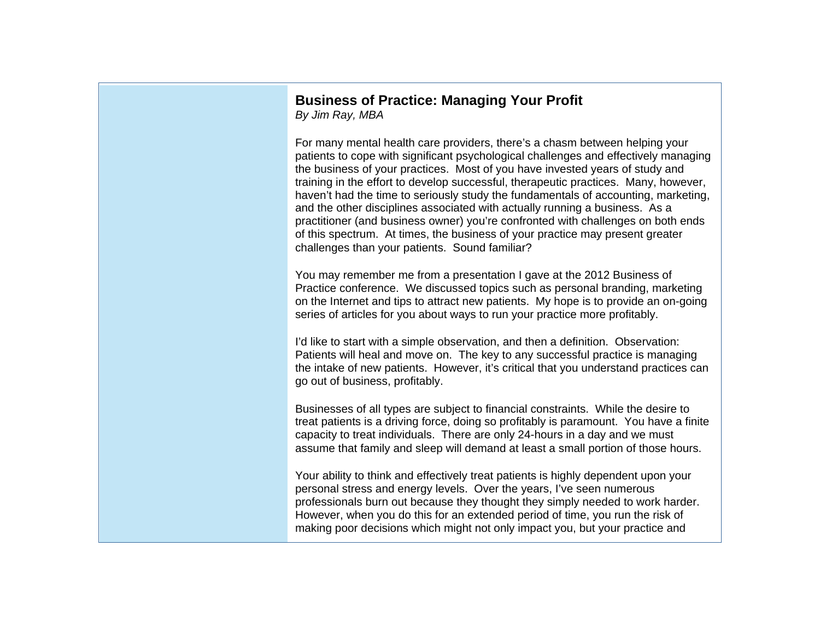# **Business of Practice: Managing Your Profit**

*By Jim Ray, MBA*

For many mental health care providers, there's a chasm between helping your patients to cope with significant psychological challenges and effectively managing the business of your practices. Most of you have invested years of study and training in the effort to develop successful, therapeutic practices. Many, however, haven't had the time to seriously study the fundamentals of accounting, marketing, and the other disciplines associated with actually running a business. As a practitioner (and business owner) you're confronted with challenges on both ends of this spectrum. At times, the business of your practice may present greater challenges than your patients. Sound familiar?

You may remember me from a presentation I gave at the 2012 Business of Practice conference. We discussed topics such as personal branding, marketing on the Internet and tips to attract new patients. My hope is to provide an on-going series of articles for you about ways to run your practice more profitably.

I'd like to start with a simple observation, and then a definition. Observation: Patients will heal and move on. The key to any successful practice is managing the intake of new patients. However, it's critical that you understand practices can go out of business, profitably.

Businesses of all types are subject to financial constraints. While the desire to treat patients is a driving force, doing so profitably is paramount. You have a finite capacity to treat individuals. There are only 24-hours in a day and we must assume that family and sleep will demand at least a small portion of those hours.

Your ability to think and effectively treat patients is highly dependent upon your personal stress and energy levels. Over the years, I've seen numerous professionals burn out because they thought they simply needed to work harder. However, when you do this for an extended period of time, you run the risk of making poor decisions which might not only impact you, but your practice and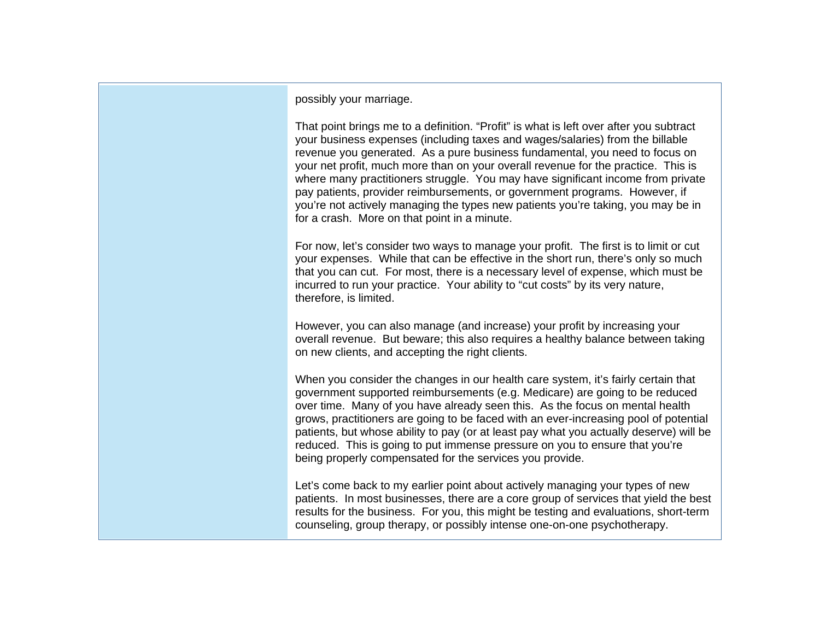possibly your marriage.

That point brings me to a definition. "Profit" is what is left over after you subtract your business expenses (including taxes and wages/salaries) from the billable revenue you generated. As a pure business fundamental, you need to focus on your net profit, much more than on your overall revenue for the practice. This is where many practitioners struggle. You may have significant income from private pay patients, provider reimbursements, or government programs. However, if you're not actively managing the types new patients you're taking, you may be in for a crash. More on that point in a minute.

For now, let's consider two ways to manage your profit. The first is to limit or cut your expenses. While that can be effective in the short run, there's only so much that you can cut. For most, there is a necessary level of expense, which must be incurred to run your practice. Your ability to "cut costs" by its very nature, therefore, is limited.

However, you can also manage (and increase) your profit by increasing your overall revenue. But beware; this also requires a healthy balance between taking on new clients, and accepting the right clients.

When you consider the changes in our health care system, it's fairly certain that government supported reimbursements (e.g. Medicare) are going to be reduced over time. Many of you have already seen this. As the focus on mental health grows, practitioners are going to be faced with an ever-increasing pool of potential patients, but whose ability to pay (or at least pay what you actually deserve) will be reduced. This is going to put immense pressure on you to ensure that you're being properly compensated for the services you provide.

Let's come back to my earlier point about actively managing your types of new patients. In most businesses, there are a core group of services that yield the best results for the business. For you, this might be testing and evaluations, short-term counseling, group therapy, or possibly intense one-on-one psychotherapy.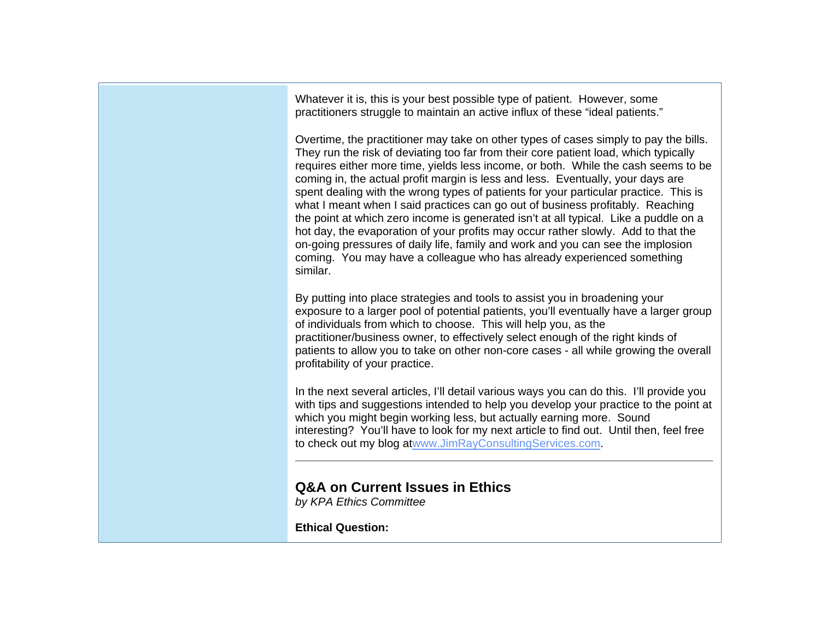Whatever it is, this is your best possible type of patient. However, some practitioners struggle to maintain an active influx of these "ideal patients."

Overtime, the practitioner may take on other types of cases simply to pay the bills. They run the risk of deviating too far from their core patient load, which typically requires either more time, yields less income, or both. While the cash seems to be coming in, the actual profit margin is less and less. Eventually, your days are spent dealing with the wrong types of patients for your particular practice. This is what I meant when I said practices can go out of business profitably. Reaching the point at which zero income is generated isn't at all typical. Like a puddle on a hot day, the evaporation of your profits may occur rather slowly. Add to that the on-going pressures of daily life, family and work and you can see the implosion coming. You may have a colleague who has already experienced something similar.

By putting into place strategies and tools to assist you in broadening your exposure to a larger pool of potential patients, you'll eventually have a larger group of individuals from which to choose. This will help you, as the practitioner/business owner, to effectively select enough of the right kinds of patients to allow you to take on other non-core cases - all while growing the overall profitability of your practice.

In the next several articles, I'll detail various ways you can do this. I'll provide you with tips and suggestions intended to help you develop your practice to the point at which you might begin working less, but actually earning more. Sound interesting? You'll have to look for my next article to find out. Until then, feel free to check out my blog atwww.JimRayConsultingServices.com.

## **Q&A on Current Issues in Ethics**

*by KPA Ethics Committee*

**Ethical Question:**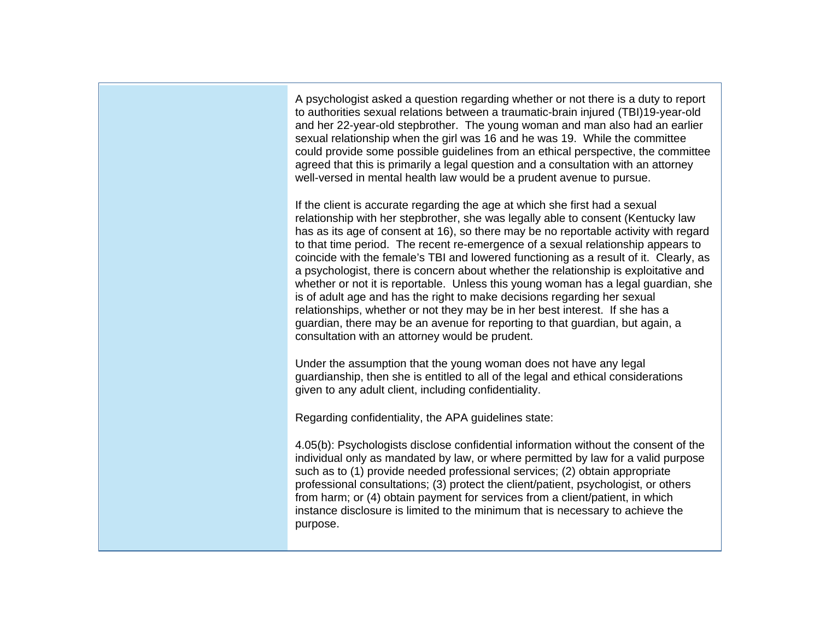A psychologist asked a question regarding whether or not there is a duty to report to authorities sexual relations between a traumatic-brain injured (TBI)19-year-old and her 22-year-old stepbrother. The young woman and man also had an earlier sexual relationship when the girl was 16 and he was 19. While the committee could provide some possible guidelines from an ethical perspective, the committee agreed that this is primarily a legal question and a consultation with an attorney well-versed in mental health law would be a prudent avenue to pursue.

If the client is accurate regarding the age at which she first had a sexual relationship with her stepbrother, she was legally able to consent (Kentucky law has as its age of consent at 16), so there may be no reportable activity with regard to that time period. The recent re-emergence of a sexual relationship appears to coincide with the female's TBI and lowered functioning as a result of it. Clearly, as a psychologist, there is concern about whether the relationship is exploitative and whether or not it is reportable. Unless this young woman has a legal guardian, she is of adult age and has the right to make decisions regarding her sexual relationships, whether or not they may be in her best interest. If she has a guardian, there may be an avenue for reporting to that guardian, but again, a consultation with an attorney would be prudent.

Under the assumption that the young woman does not have any legal guardianship, then she is entitled to all of the legal and ethical considerations given to any adult client, including confidentiality.

Regarding confidentiality, the APA guidelines state:

4.05(b): Psychologists disclose confidential information without the consent of the individual only as mandated by law, or where permitted by law for a valid purpose such as to (1) provide needed professional services; (2) obtain appropriate professional consultations; (3) protect the client/patient, psychologist, or others from harm; or (4) obtain payment for services from a client/patient, in which instance disclosure is limited to the minimum that is necessary to achieve the purpose.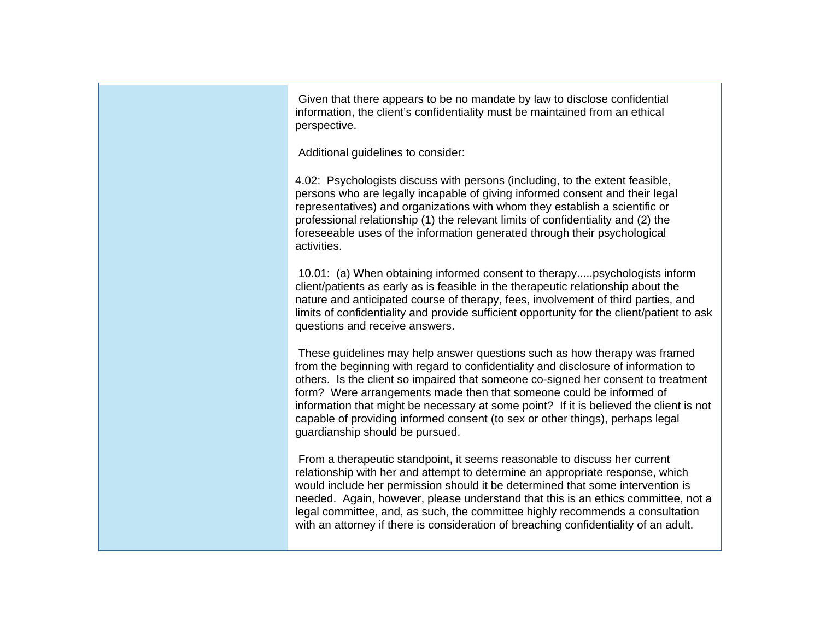Given that there appears to be no mandate by law to disclose confidential information, the client's confidentiality must be maintained from an ethical perspective.

Additional guidelines to consider:

4.02: Psychologists discuss with persons (including, to the extent feasible, persons who are legally incapable of giving informed consent and their legal representatives) and organizations with whom they establish a scientific or professional relationship (1) the relevant limits of confidentiality and (2) the foreseeable uses of the information generated through their psychological activities.

 10.01: (a) When obtaining informed consent to therapy.....psychologists inform client/patients as early as is feasible in the therapeutic relationship about the nature and anticipated course of therapy, fees, involvement of third parties, and limits of confidentiality and provide sufficient opportunity for the client/patient to ask questions and receive answers.

 These guidelines may help answer questions such as how therapy was framed from the beginning with regard to confidentiality and disclosure of information to others. Is the client so impaired that someone co-signed her consent to treatment form? Were arrangements made then that someone could be informed of information that might be necessary at some point? If it is believed the client is not capable of providing informed consent (to sex or other things), perhaps legal guardianship should be pursued.

 From a therapeutic standpoint, it seems reasonable to discuss her current relationship with her and attempt to determine an appropriate response, which would include her permission should it be determined that some intervention is needed. Again, however, please understand that this is an ethics committee, not a legal committee, and, as such, the committee highly recommends a consultation with an attorney if there is consideration of breaching confidentiality of an adult.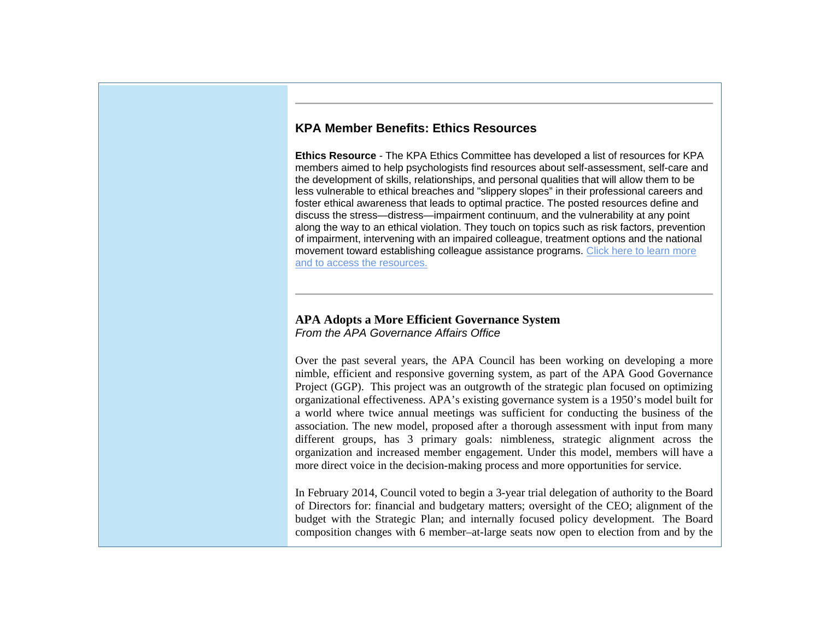## **KPA Member Benefits: Ethics Resources**

**Ethics Resource** - The KPA Ethics Committee has developed a list of resources for KPA members aimed to help psychologists find resources about self-assessment, self-care and the development of skills, relationships, and personal qualities that will allow them to be less vulnerable to ethical breaches and "slippery slopes" in their professional careers and foster ethical awareness that leads to optimal practice. The posted resources define and discuss the stress—distress—impairment continuum, and the vulnerability at any point along the way to an ethical violation. They touch on topics such as risk factors, prevention of impairment, intervening with an impaired colleague, treatment options and the national movement toward establishing colleague assistance programs. Click here to learn more and to access the resources.

### **APA Adopts a More Efficient Governance System** *From the APA Governance Affairs Office*

Over the past several years, the APA Council has been working on developing a more nimble, efficient and responsive governing system, as part of the APA Good Governance Project (GGP). This project was an outgrowth of the strategic plan focused on optimizing organizational effectiveness. APA's existing governance system is a 1950's model built for a world where twice annual meetings was sufficient for conducting the business of the association. The new model, proposed after a thorough assessment with input from many different groups, has 3 primary goals: nimbleness, strategic alignment across the organization and increased member engagement. Under this model, members will have a more direct voice in the decision-making process and more opportunities for service.

In February 2014, Council voted to begin a 3-year trial delegation of authority to the Board of Directors for: financial and budgetary matters; oversight of the CEO; alignment of the budget with the Strategic Plan; and internally focused policy development. The Board composition changes with 6 member–at-large seats now open to election from and by the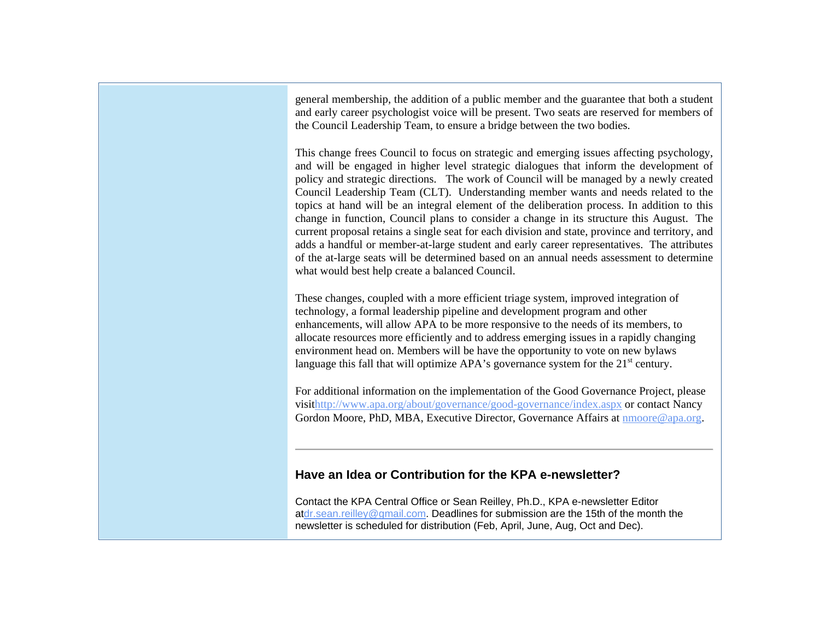general membership, the addition of a public member and the guarantee that both a student and early career psychologist voice will be present. Two seats are reserved for members of the Council Leadership Team, to ensure a bridge between the two bodies.

This change frees Council to focus on strategic and emerging issues affecting psychology, and will be engaged in higher level strategic dialogues that inform the development of policy and strategic directions. The work of Council will be managed by a newly created Council Leadership Team (CLT). Understanding member wants and needs related to the topics at hand will be an integral element of the deliberation process. In addition to this change in function, Council plans to consider a change in its structure this August. The current proposal retains a single seat for each division and state, province and territory, and adds a handful or member-at-large student and early career representatives. The attributes of the at-large seats will be determined based on an annual needs assessment to determine what would best help create a balanced Council.

These changes, coupled with a more efficient triage system, improved integration of technology, a formal leadership pipeline and development program and other enhancements, will allow APA to be more responsive to the needs of its members, to allocate resources more efficiently and to address emerging issues in a rapidly changing environment head on. Members will be have the opportunity to vote on new bylaws language this fall that will optimize APA's governance system for the  $21<sup>st</sup>$  century.

For additional information on the implementation of the Good Governance Project, please visithttp://www.apa.org/about/governance/good-governance/index.aspx or contact Nancy Gordon Moore, PhD, MBA, Executive Director, Governance Affairs at nmoore@apa.org.

## **Have an Idea or Contribution for the KPA e-newsletter?**

Contact the KPA Central Office or Sean Reilley, Ph.D., KPA e-newsletter Editor atdr.sean.reilley@gmail.com. Deadlines for submission are the 15th of the month the newsletter is scheduled for distribution (Feb, April, June, Aug, Oct and Dec).